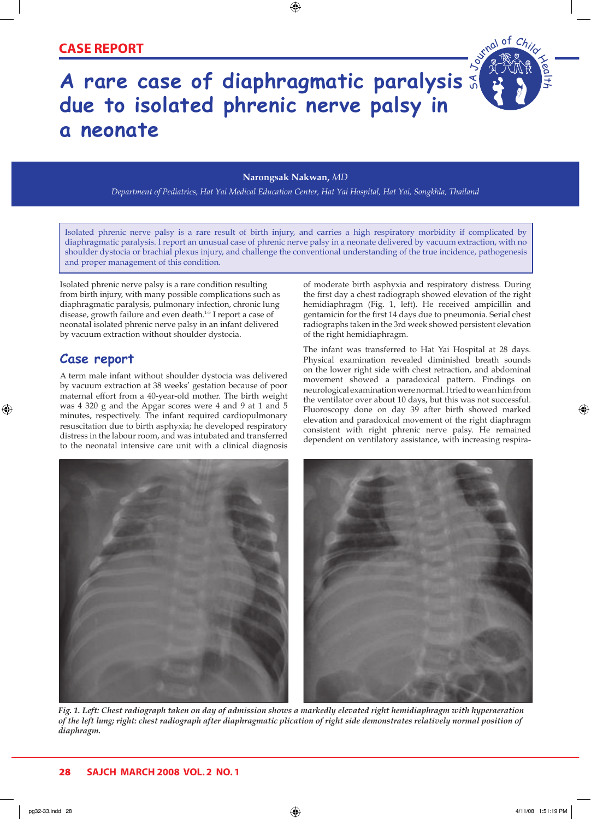## **CASE REPORT**

# **A rare case of diaphragmatic paralysis**  S A **due to isolated phrenic nerve palsy in a neonate**

#### **Narongsak Nakwan,** *MD*

⊕

*Department of Pediatrics, Hat Yai Medical Education Center, Hat Yai Hospital, Hat Yai, Songkhla, Thailand*

Isolated phrenic nerve palsy is a rare result of birth injury, and carries a high respiratory morbidity if complicated by diaphragmatic paralysis. I report an unusual case of phrenic nerve palsy in a neonate delivered by vacuum extraction, with no shoulder dystocia or brachial plexus injury, and challenge the conventional understanding of the true incidence, pathogenesis and proper management of this condition.

Isolated phrenic nerve palsy is a rare condition resulting from birth injury, with many possible complications such as diaphragmatic paralysis, pulmonary infection, chronic lung disease, growth failure and even death.<sup>1-3</sup> I report a case of neonatal isolated phrenic nerve palsy in an infant delivered by vacuum extraction without shoulder dystocia.

### **Case report**

⊕

A term male infant without shoulder dystocia was delivered by vacuum extraction at 38 weeks' gestation because of poor maternal effort from a 40-year-old mother. The birth weight was 4 320 g and the Apgar scores were 4 and 9 at 1 and 5 minutes, respectively. The infant required cardiopulmonary resuscitation due to birth asphyxia; he developed respiratory distress in the labour room, and was intubated and transferred to the neonatal intensive care unit with a clinical diagnosis of moderate birth asphyxia and respiratory distress. During the first day a chest radiograph showed elevation of the right hemidiaphragm (Fig. 1, left). He received ampicillin and gentamicin for the first 14 days due to pneumonia. Serial chest radiographs taken in the 3rd week showed persistent elevation of the right hemidiaphragm.

of  $C_{h}$ 

l $\overline{\phantom{0}}$ h

⊕

The infant was transferred to Hat Yai Hospital at 28 days. Physical examination revealed diminished breath sounds on the lower right side with chest retraction, and abdominal movement showed a paradoxical pattern. Findings on neurological examination were normal. I tried to wean him from the ventilator over about 10 days, but this was not successful. Fluoroscopy done on day 39 after birth showed marked elevation and paradoxical movement of the right diaphragm consistent with right phrenic nerve palsy. He remained dependent on ventilatory assistance, with increasing respira-



*Fig. 1. Left: Chest radiograph taken on day of admission shows a markedly elevated right hemidiaphragm with hyperaeration of the left lung; right: chest radiograph after diaphragmatic plication of right side demonstrates relatively normal position of diaphragm.*